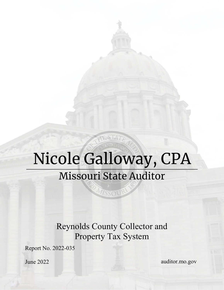# Nicole Galloway, CPA **Missouri State Auditor**

MISSOU

Reynolds County Collector and Property Tax System

Report No. 2022-035

June 2022

auditor.mo.gov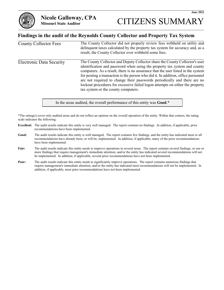

#### **Findings in the audit of the Reynolds County Collector and Property Tax System**

| <b>County Collector Fees</b>    | The County Collector did not properly review fees withheld on utility and<br>delinquent taxes calculated by the property tax system for accuracy and, as a<br>result, the County Collector over withheld some fees.                                                                                                                                                                                                                                                                                                                   |
|---------------------------------|---------------------------------------------------------------------------------------------------------------------------------------------------------------------------------------------------------------------------------------------------------------------------------------------------------------------------------------------------------------------------------------------------------------------------------------------------------------------------------------------------------------------------------------|
| <b>Electronic Data Security</b> | The County Collector and Deputy Collector share the County Collector's user<br>identification and password when using the property tax system and county<br>computers. As a result, there is no assurance that the user listed in the system<br>for posting a transaction is the person who did it. In addition, office personnel<br>are not required to change their passwords periodically and there are no<br>lockout procedures for excessive failed logon attempts on either the property<br>tax system or the county computers. |

In the areas audited, the overall performance of this entity was **Good**.\*

**\***The rating(s) cover only audited areas and do not reflect an opinion on the overall operation of the entity. Within that context, the rating scale indicates the following:

- **Excellent:** The audit results indicate this entity is very well managed. The report contains no findings. In addition, if applicable, prior recommendations have been implemented.
- **Good:** The audit results indicate this entity is well managed. The report contains few findings, and the entity has indicated most or all recommendations have already been, or will be, implemented. In addition, if applicable, many of the prior recommendations have been implemented.
- Fair: The audit results indicate this entity needs to improve operations in several areas. The report contains several findings, or one or more findings that require management's immediate attention, and/or the entity has indicated several recommendations will not be implemented. In addition, if applicable, several prior recommendations have not been implemented.
- **Poor:** The audit results indicate this entity needs to significantly improve operations. The report contains numerous findings that require management's immediate attention, and/or the entity has indicated most recommendations will not be implemented. In addition, if applicable, most prior recommendations have not been implemented.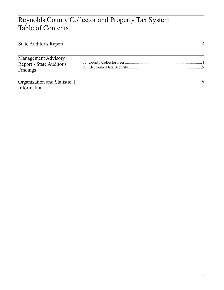## Reynolds County Collector and Property Tax System Table of Contents

| <b>State Auditor's Report</b>                                      |   |
|--------------------------------------------------------------------|---|
| <b>Management Advisory</b><br>Report - State Auditor's<br>Findings |   |
| Organization and Statistical<br>Information                        | 6 |

 $\overline{2}$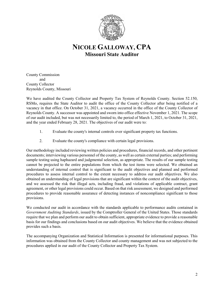

## **NICOLE GALLOWAY, CPA Missouri State Auditor**

County Commission and County Collector Reynolds County, Missouri

We have audited the County Collector and Property Tax System of Reynolds County. Section 52.150, RSMo, requires the State Auditor to audit the office of the County Collector after being notified of a vacancy in that office. On October 31, 2021, a vacancy occurred in the office of the County Collector of Reynolds County. A successor was appointed and sworn into office effective November 1, 2021. The scope of our audit included, but was not necessarily limited to, the period of March 1, 2021, to October 31, 2021, and the year ended February 28, 2021. The objectives of our audit were to:

- 1. Evaluate the county's internal controls over significant property tax functions.
- 2. Evaluate the county's compliance with certain legal provisions.

Our methodology included reviewing written policies and procedures, financial records, and other pertinent documents; interviewing various personnel of the county, as well as certain external parties; and performing sample testing using haphazard and judgmental selection, as appropriate. The results of our sample testing cannot be projected to the entire populations from which the test items were selected. We obtained an understanding of internal control that is significant to the audit objectives and planned and performed procedures to assess internal control to the extent necessary to address our audit objectives. We also obtained an understanding of legal provisions that are significant within the context of the audit objectives, and we assessed the risk that illegal acts, including fraud, and violations of applicable contract, grant agreement, or other legal provisions could occur. Based on that risk assessment, we designed and performed procedures to provide reasonable assurance of detecting instances of noncompliance significant to those provisions.

We conducted our audit in accordance with the standards applicable to performance audits contained in *Government Auditing Standards*, issued by the Comptroller General of the United States. Those standards require that we plan and perform our audit to obtain sufficient, appropriate evidence to provide a reasonable basis for our findings and conclusions based on our audit objectives. We believe that the evidence obtained provides such a basis.

The accompanying Organization and Statistical Information is presented for informational purposes. This information was obtained from the County Collector and county management and was not subjected to the procedures applied in our audit of the County Collector and Property Tax System.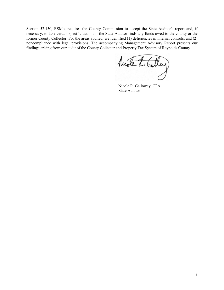Section 52.150, RSMo, requires the County Commission to accept the State Auditor's report and, if necessary, to take certain specific actions if the State Auditor finds any funds owed to the county or the former County Collector. For the areas audited, we identified (1) deficiencies in internal controls, and (2) noncompliance with legal provisions. The accompanying Management Advisory Report presents our findings arising from our audit of the County Collector and Property Tax System of Reynolds County.

Motel. Calley

Nicole R. Galloway, CPA State Auditor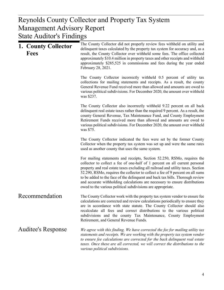## $R_{\rm F}$  D operty Collector and Property Tax Systems Tax Systems Tax Systems Tax Systems Tax Systems Tax Systems Tax Systems Tax Systems Tax Systems Tax Systems Tax Systems Tax Systems Tax Systems Tax Systems Tax Systems Management Advisory Report Reynolds County Collector and Property Tax System State Auditor's Findings

| 1. County Collector<br><b>Fees</b> | The County Collector did not properly review fees withheld on utility and<br>delinquent taxes calculated by the property tax system for accuracy and, as a<br>result, the County Collector over withheld some fees. The office collected<br>approximately \$10.4 million in property taxes and other receipts and withheld<br>approximately \$285,525 in commissions and fees during the year ended<br>February 28, 2021.                                                                                                                                   |
|------------------------------------|-------------------------------------------------------------------------------------------------------------------------------------------------------------------------------------------------------------------------------------------------------------------------------------------------------------------------------------------------------------------------------------------------------------------------------------------------------------------------------------------------------------------------------------------------------------|
|                                    | The County Collector incorrectly withheld 0.5 percent of utility tax<br>collections for mailing statements and receipts. As a result, the county<br>General Revenue Fund received more than allowed and amounts are owed to<br>various political subdivisions. For December 2020, the amount over withheld<br>was \$237.                                                                                                                                                                                                                                    |
|                                    | The County Collector also incorrectly withheld 9.22 percent on all back<br>delinquent real estate taxes rather than the required 9 percent. As a result, the<br>county General Revenue, Tax Maintenance Fund, and County Employment<br>Retirement Funds received more than allowed and amounts are owed to<br>various political subdivisions. For December 2020, the amount over withheld<br>was \$75.                                                                                                                                                      |
|                                    | The County Collector indicated the fees were set by the former County<br>Collector when the property tax system was set up and were the same rates<br>used as another county that uses the same system.                                                                                                                                                                                                                                                                                                                                                     |
|                                    | For mailing statements and receipts, Section 52.250, RSMo, requires the<br>collector to collect a fee of one-half of 1 percent on all current personal<br>property and real estate taxes excluding all railroad and utility taxes. Section<br>52.290, RSMo, requires the collector to collect a fee of 9 percent on all sums<br>to be added to the face of the delinquent and back tax bills. Thorough review<br>and accurate withholding calculations are necessary to ensure distributions<br>owed to the various political subdivisions are appropriate. |
| Recommendation                     | The County Collector work with the property tax system vendor to ensure fee<br>calculations are corrected and review calculations periodically to ensure they<br>are in accordance with state statute. The County Collector should also<br>recalculate all fees and correct distributions to the various political<br>subdivisions and the county Tax Maintenance, County Employment<br>Retirement, and General Revenue Funds.                                                                                                                              |
| Auditee's Response                 | We agree with this finding. We have corrected the fee for mailing utility tax<br>statements and receipts. We are working with the property tax system vendor<br>to ensure fee calculations are corrected for the back delinquent real estate<br>taxes. Once these are all corrected, we will correct the distributions to the<br>various political subdivisions.                                                                                                                                                                                            |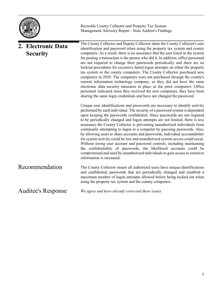

Reynolds County Collector and Property Tax System Management Advisory Report - State Auditor's Findings

| 2. Electronic Data<br><b>Security</b> | The County Collector and Deputy Collector share the County Collector's user<br>identification and password when using the property tax system and county<br>computers. As a result, there is no assurance that the user listed in the system<br>for posting a transaction is the person who did it. In addition, office personnel<br>are not required to change their passwords periodically and there are no<br>lockout procedures for excessive failed logon attempts on either the property<br>tax system or the county computers. The County Collector purchased new<br>computers in 2020. The computers were not purchased through the county's<br>current information technology company, so they did not have the same<br>electronic data security measures in place as the prior computers. Office<br>personnel indicated since they received the new computers, they have been<br>sharing the same login credentials and have not changed the password. |
|---------------------------------------|------------------------------------------------------------------------------------------------------------------------------------------------------------------------------------------------------------------------------------------------------------------------------------------------------------------------------------------------------------------------------------------------------------------------------------------------------------------------------------------------------------------------------------------------------------------------------------------------------------------------------------------------------------------------------------------------------------------------------------------------------------------------------------------------------------------------------------------------------------------------------------------------------------------------------------------------------------------|
|                                       | Unique user identifications and passwords are necessary to identify activity<br>performed by each individual. The security of a password system is dependent<br>upon keeping the passwords confidential. Since passwords are not required<br>to be periodically changed and logon attempts are not limited, there is less<br>assurance the County Collector is preventing unauthorized individuals from<br>continually attempting to logon to a computer by guessing passwords. Also,<br>by allowing users to share accounts and passwords, individual accountability<br>for system activity could be lost and unauthorized system access could occur.<br>Without strong user account and password controls, including maintaining<br>the confidentiality of passwords, the likelihood accounts could be<br>compromised and used by unauthorized individuals to gain access to sensitive<br>information is increased.                                            |
| Recommendation                        | The County Collector ensure all authorized users have unique identifications<br>and confidential passwords that are periodically changed and establish a<br>maximum number of logon attempts allowed before being locked out when<br>using the property tax system and the county computers.                                                                                                                                                                                                                                                                                                                                                                                                                                                                                                                                                                                                                                                                     |
| Auditee's Response                    | We agree and have already corrected these issues.                                                                                                                                                                                                                                                                                                                                                                                                                                                                                                                                                                                                                                                                                                                                                                                                                                                                                                                |